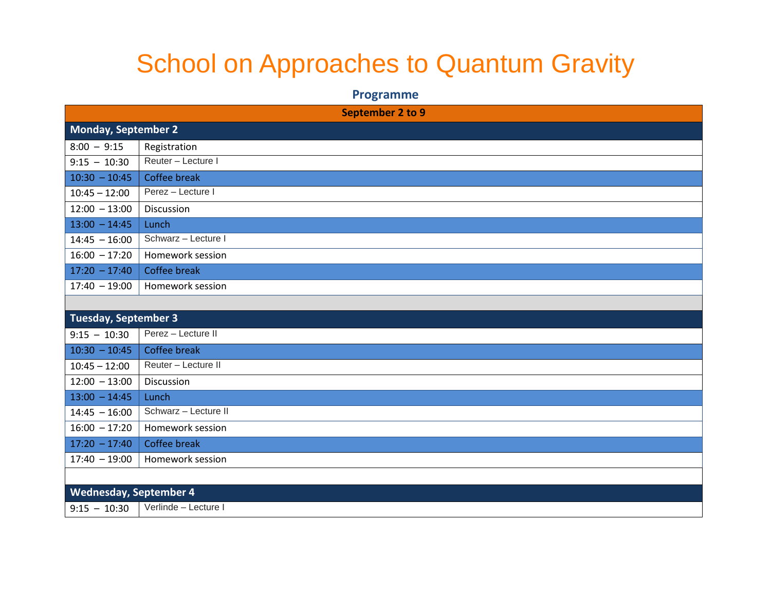## School on Approaches to Quantum Gravity

## **Programme**

| September 2 to 9       |                      |  |
|------------------------|----------------------|--|
| Monday, September 2    |                      |  |
| $8:00 - 9:15$          | Registration         |  |
| $9:15 - 10:30$         | Reuter - Lecture I   |  |
| $10:30 - 10:45$        | Coffee break         |  |
| $10:45 - 12:00$        | Perez - Lecture I    |  |
| $12:00 - 13:00$        | Discussion           |  |
| $13:00 - 14:45$        | Lunch                |  |
| $14:45 - 16:00$        | Schwarz - Lecture I  |  |
| $16:00 - 17:20$        | Homework session     |  |
| $17:20 - 17:40$        | <b>Coffee break</b>  |  |
| $17:40 - 19:00$        | Homework session     |  |
|                        |                      |  |
| Tuesday, September 3   |                      |  |
| $9:15 - 10:30$         | Perez - Lecture II   |  |
| $10:30 - 10:45$        | <b>Coffee break</b>  |  |
| $10:45 - 12:00$        | Reuter - Lecture II  |  |
| $12:00 - 13:00$        | Discussion           |  |
| $13:00 - 14:45$        | Lunch                |  |
| $14:45 - 16:00$        | Schwarz - Lecture II |  |
| $16:00 - 17:20$        | Homework session     |  |
| $17:20 - 17:40$        | Coffee break         |  |
| $17:40 - 19:00$        | Homework session     |  |
|                        |                      |  |
| Wednesday, September 4 |                      |  |
| $9:15 - 10:30$         | Verlinde - Lecture I |  |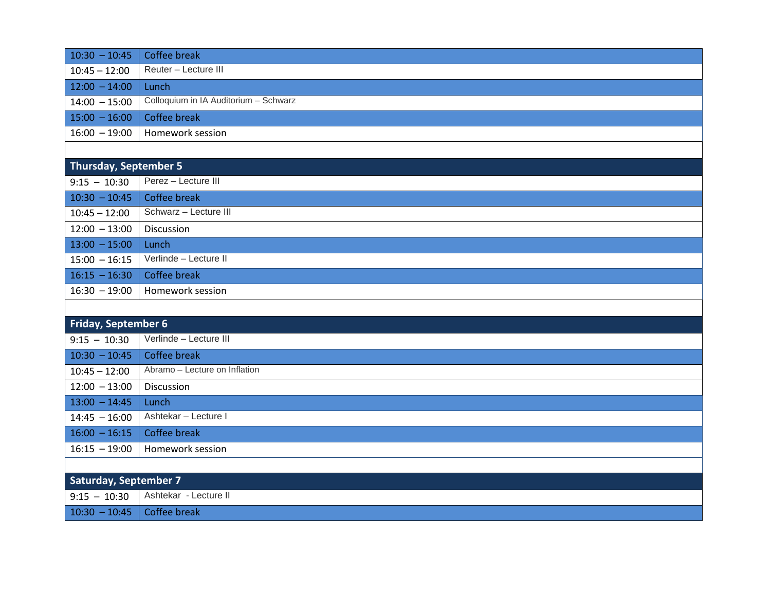| $10:30 - 10:45$              | Coffee break                          |  |
|------------------------------|---------------------------------------|--|
| $10:45 - 12:00$              | Reuter - Lecture III                  |  |
| $12:00 - 14:00$              | Lunch                                 |  |
| $14:00 - 15:00$              | Colloquium in IA Auditorium - Schwarz |  |
| $15:00 - 16:00$              | Coffee break                          |  |
| $16:00 - 19:00$              | Homework session                      |  |
|                              |                                       |  |
| <b>Thursday, September 5</b> |                                       |  |
| $9:15 - 10:30$               | Perez - Lecture III                   |  |
| $10:30 - 10:45$              | Coffee break                          |  |
| $10:45 - 12:00$              | Schwarz - Lecture III                 |  |
| $12:00 - 13:00$              | Discussion                            |  |
| $13:00 - 15:00$              | Lunch                                 |  |
| $15:00 - 16:15$              | Verlinde - Lecture II                 |  |
| $16:15 - 16:30$              | Coffee break                          |  |
| $16:30 - 19:00$              | Homework session                      |  |
|                              |                                       |  |
| <b>Friday, September 6</b>   |                                       |  |
| $9:15 - 10:30$               | Verlinde - Lecture III                |  |
| $10:30 - 10:45$              | Coffee break                          |  |
| $10:45 - 12:00$              | Abramo - Lecture on Inflation         |  |
| $12:00 - 13:00$              | Discussion                            |  |
| $13:00 - 14:45$              | Lunch                                 |  |
| $14:45 - 16:00$              | Ashtekar - Lecture I                  |  |
| $16:00 - 16:15$              | Coffee break                          |  |
| $16:15 - 19:00$              | Homework session                      |  |
|                              |                                       |  |
| <b>Saturday, September 7</b> |                                       |  |
| $9:15 - 10:30$               | Ashtekar - Lecture II                 |  |
| $10:30 - 10:45$              | Coffee break                          |  |